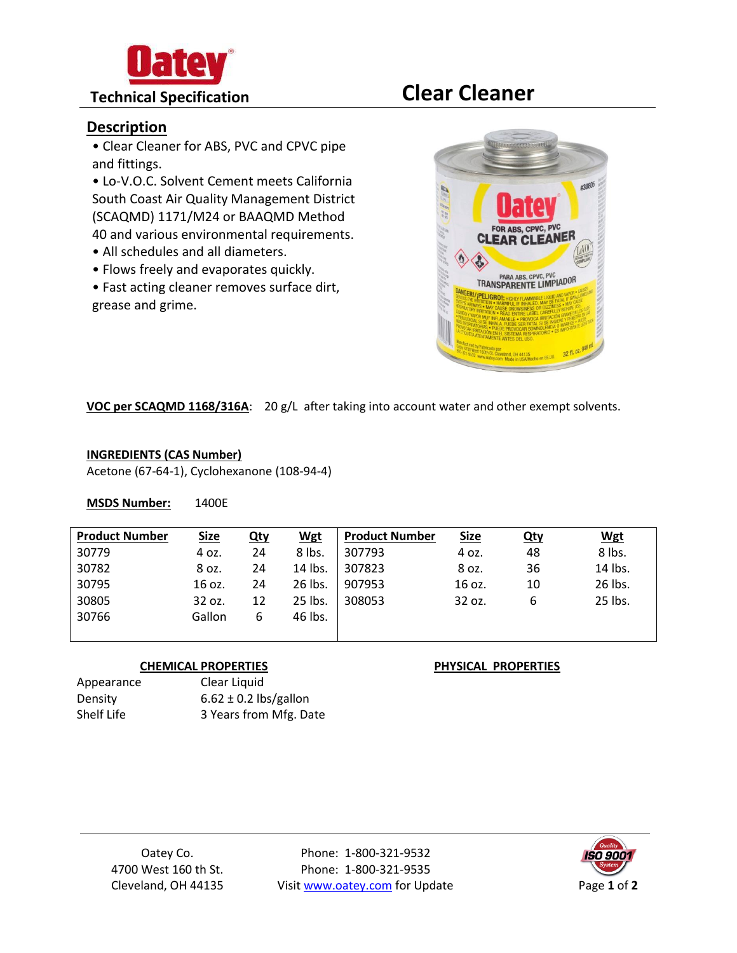

# **Technical Specification Clear Cleaner**

# **Description**

• Clear Cleaner for ABS, PVC and CPVC pipe and fittings.

• Lo-V.O.C. Solvent Cement meets California South Coast Air Quality Management District (SCAQMD) 1171/M24 or BAAQMD Method 40 and various environmental requirements.

- All schedules and all diameters.
- Flows freely and evaporates quickly.

• Fast acting cleaner removes surface dirt, grease and grime.



**VOC per SCAQMD 1168/316A**: 20 g/L after taking into account water and other exempt solvents.

## **INGREDIENTS (CAS Number)**

Acetone (67-64-1), Cyclohexanone (108-94-4)

**MSDS Number:** 1400E

| <b>Product Number</b> | <b>Size</b> | <u>Qty</u> | <b>Wgt</b> | <b>Product Number</b> | <b>Size</b> | <u>Qty</u> | <b>Wgt</b> |
|-----------------------|-------------|------------|------------|-----------------------|-------------|------------|------------|
| 30779                 | 4 oz.       | 24         | 8 lbs.     | 307793                | 4 oz.       | 48         | 8 lbs.     |
| 30782                 | 8 oz.       | 24         | 14 lbs.    | 307823                | 8 oz.       | 36         | 14 lbs.    |
| 30795                 | 16 oz.      | 24         | 26 lbs.    | 907953                | 16 oz.      | 10         | 26 lbs.    |
| 30805                 | 32 oz.      | 12         | 25 lbs.    | 308053                | 32 oz.      | 6          | 25 lbs.    |
| 30766                 | Gallon      | 6          | 46 lbs.    |                       |             |            |            |
|                       |             |            |            |                       |             |            |            |

### **CHEMICAL PROPERTIES PHYSICAL PROPERTIES**

| Appearance | Clear Liquid              |
|------------|---------------------------|
| Density    | $6.62 \pm 0.2$ lbs/gallon |
| Shelf Life | 3 Years from Mfg. Date    |

Oatey Co. 4700 West 160 th St. Cleveland, OH 44135

Phone: 1-800-321-9532 Phone: 1-800-321-9535 Visit www.oatey.com for Update Page 1 of 2